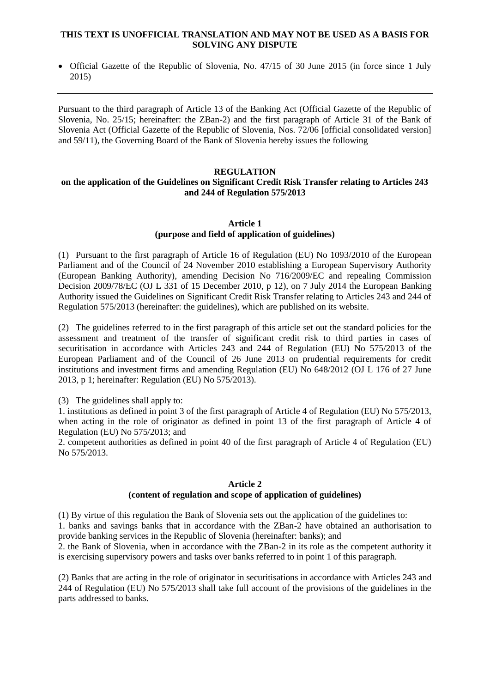## **THIS TEXT IS UNOFFICIAL TRANSLATION AND MAY NOT BE USED AS A BASIS FOR SOLVING ANY DISPUTE**

• Official Gazette of the Republic of Slovenia, No. 47/15 of 30 June 2015 (in force since 1 July 2015)

Pursuant to the third paragraph of Article 13 of the Banking Act (Official Gazette of the Republic of Slovenia, No. 25/15; hereinafter: the ZBan-2) and the first paragraph of Article 31 of the Bank of Slovenia Act (Official Gazette of the Republic of Slovenia, Nos. 72/06 [official consolidated version] and 59/11), the Governing Board of the Bank of Slovenia hereby issues the following

## **REGULATION**

# **on the application of the Guidelines on Significant Credit Risk Transfer relating to Articles 243 and 244 of Regulation 575/2013**

## **Article 1 (purpose and field of application of guidelines)**

(1) Pursuant to the first paragraph of Article 16 of Regulation (EU) No 1093/2010 of the European Parliament and of the Council of 24 November 2010 establishing a European Supervisory Authority (European Banking Authority), amending Decision No 716/2009/EC and repealing Commission Decision 2009/78/EC (OJ L 331 of 15 December 2010, p 12), on 7 July 2014 the European Banking Authority issued the Guidelines on Significant Credit Risk Transfer relating to Articles 243 and 244 of Regulation 575/2013 (hereinafter: the guidelines), which are published on its website.

(2) The guidelines referred to in the first paragraph of this article set out the standard policies for the assessment and treatment of the transfer of significant credit risk to third parties in cases of securitisation in accordance with Articles 243 and 244 of Regulation (EU) No 575/2013 of the European Parliament and of the Council of 26 June 2013 on prudential requirements for credit institutions and investment firms and amending Regulation (EU) No 648/2012 (OJ L 176 of 27 June 2013, p 1; hereinafter: Regulation (EU) No 575/2013).

(3) The guidelines shall apply to:

1. institutions as defined in point 3 of the first paragraph of Article 4 of Regulation (EU) No 575/2013, when acting in the role of originator as defined in point 13 of the first paragraph of Article 4 of Regulation (EU) No 575/2013; and

2. competent authorities as defined in point 40 of the first paragraph of Article 4 of Regulation (EU) No 575/2013.

#### **Article 2**

#### **(content of regulation and scope of application of guidelines)**

(1) By virtue of this regulation the Bank of Slovenia sets out the application of the guidelines to: 1. banks and savings banks that in accordance with the ZBan-2 have obtained an authorisation to provide banking services in the Republic of Slovenia (hereinafter: banks); and

2. the Bank of Slovenia, when in accordance with the ZBan-2 in its role as the competent authority it is exercising supervisory powers and tasks over banks referred to in point 1 of this paragraph.

(2) Banks that are acting in the role of originator in securitisations in accordance with Articles 243 and 244 of Regulation (EU) No 575/2013 shall take full account of the provisions of the guidelines in the parts addressed to banks.